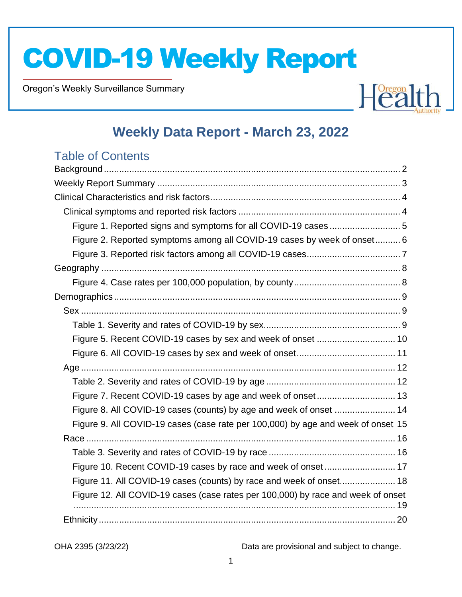Oregon's Weekly Surveillance Summary

Novel Coronavirus (COVID-19)



### **Weekly Data Report - March 23, 2022**

### Table of Contents

| Figure 1. Reported signs and symptoms for all COVID-19 cases  5                  |  |
|----------------------------------------------------------------------------------|--|
| Figure 2. Reported symptoms among all COVID-19 cases by week of onset 6          |  |
|                                                                                  |  |
|                                                                                  |  |
|                                                                                  |  |
|                                                                                  |  |
|                                                                                  |  |
|                                                                                  |  |
|                                                                                  |  |
|                                                                                  |  |
|                                                                                  |  |
|                                                                                  |  |
|                                                                                  |  |
| Figure 8. All COVID-19 cases (counts) by age and week of onset  14               |  |
| Figure 9. All COVID-19 cases (case rate per 100,000) by age and week of onset 15 |  |
|                                                                                  |  |
|                                                                                  |  |
| Figure 10. Recent COVID-19 cases by race and week of onset 17                    |  |
| Figure 11. All COVID-19 cases (counts) by race and week of onset 18              |  |
| Figure 12. All COVID-19 cases (case rates per 100,000) by race and week of onset |  |
|                                                                                  |  |
|                                                                                  |  |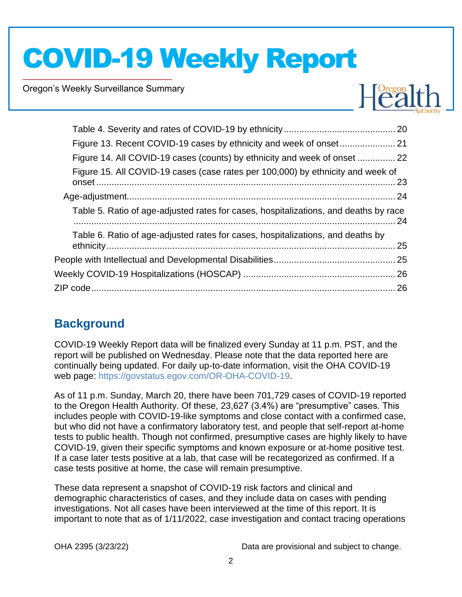Oregon's Weekly Surveillance Summary

Novel Coronavirus (COVID-19)



| Figure 14. All COVID-19 cases (counts) by ethnicity and week of onset  22            |  |
|--------------------------------------------------------------------------------------|--|
| Figure 15. All COVID-19 cases (case rates per 100,000) by ethnicity and week of      |  |
|                                                                                      |  |
| Table 5. Ratio of age-adjusted rates for cases, hospitalizations, and deaths by race |  |
| Table 6. Ratio of age-adjusted rates for cases, hospitalizations, and deaths by      |  |
|                                                                                      |  |
|                                                                                      |  |
|                                                                                      |  |
|                                                                                      |  |

### <span id="page-1-0"></span>**Background**

COVID-19 Weekly Report data will be finalized every Sunday at 11 p.m. PST, and the report will be published on Wednesday. Please note that the data reported here are continually being updated. For daily up-to-date information, visit the OHA COVID-19 web page: [https://govstatus.egov.com/OR-OHA-COVID-19.](https://govstatus.egov.com/OR-OHA-COVID-19)

As of 11 p.m. Sunday, March 20, there have been 701,729 cases of COVID-19 reported to the Oregon Health Authority. Of these, 23,627 (3.4%) are "presumptive" cases. This includes people with COVID-19-like symptoms and close contact with a confirmed case, but who did not have a confirmatory laboratory test, and people that self-report at-home tests to public health. Though not confirmed, presumptive cases are highly likely to have COVID-19, given their specific symptoms and known exposure or at-home positive test. If a case later tests positive at a lab, that case will be recategorized as confirmed. If a case tests positive at home, the case will remain presumptive.

These data represent a snapshot of COVID-19 risk factors and clinical and demographic characteristics of cases, and they include data on cases with pending investigations. Not all cases have been interviewed at the time of this report. It is important to note that as of 1/11/2022, case investigation and contact tracing operations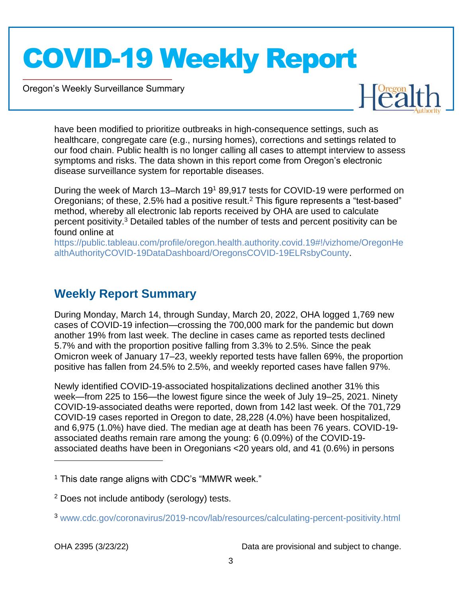Oregon's Weekly Surveillance Summary

Novel Coronavirus (COVID-19)



have been modified to prioritize outbreaks in high-consequence settings, such as healthcare, congregate care (e.g., nursing homes), corrections and settings related to our food chain. Public health is no longer calling all cases to attempt interview to assess symptoms and risks. The data shown in this report come from Oregon's electronic disease surveillance system for reportable diseases.

During the week of March 13–March 19<sup>1</sup> 89,917 tests for COVID-19 were performed on Oregonians; of these, 2.5% had a positive result.<sup>2</sup> This figure represents a "test-based" method, whereby all electronic lab reports received by OHA are used to calculate percent positivity.<sup>3</sup> Detailed tables of the number of tests and percent positivity can be found online at

[https://public.tableau.com/profile/oregon.health.authority.covid.19#!/vizhome/OregonHe](https://public.tableau.com/profile/oregon.health.authority.covid.19#!/vizhome/OregonHealthAuthorityCOVID-19DataDashboard/OregonsCOVID-19ELRsbyCounty) [althAuthorityCOVID-19DataDashboard/OregonsCOVID-19ELRsbyCounty.](https://public.tableau.com/profile/oregon.health.authority.covid.19#!/vizhome/OregonHealthAuthorityCOVID-19DataDashboard/OregonsCOVID-19ELRsbyCounty)

### <span id="page-2-0"></span>**Weekly Report Summary**

During Monday, March 14, through Sunday, March 20, 2022, OHA logged 1,769 new cases of COVID-19 infection—crossing the 700,000 mark for the pandemic but down another 19% from last week. The decline in cases came as reported tests declined 5.7% and with the proportion positive falling from 3.3% to 2.5%. Since the peak Omicron week of January 17–23, weekly reported tests have fallen 69%, the proportion positive has fallen from 24.5% to 2.5%, and weekly reported cases have fallen 97%.

Newly identified COVID-19-associated hospitalizations declined another 31% this week—from 225 to 156—the lowest figure since the week of July 19–25, 2021. Ninety COVID-19-associated deaths were reported, down from 142 last week. Of the 701,729 COVID-19 cases reported in Oregon to date, 28,228 (4.0%) have been hospitalized, and 6,975 (1.0%) have died. The median age at death has been 76 years. COVID-19 associated deaths remain rare among the young: 6 (0.09%) of the COVID-19 associated deaths have been in Oregonians <20 years old, and 41 (0.6%) in persons

 $<sup>1</sup>$  This date range aligns with CDC's "MMWR week."</sup>

<sup>2</sup> Does not include antibody (serology) tests.

<sup>3</sup> [www.cdc.gov/coronavirus/2019-ncov/lab/resources/calculating-percent-positivity.html](http://www.cdc.gov/coronavirus/2019-ncov/lab/resources/calculating-percent-positivity.html)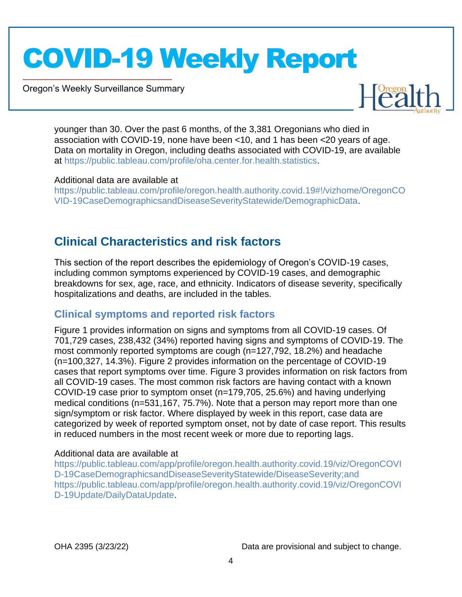Oregon's Weekly Surveillance Summary

Novel Coronavirus (COVID-19)



younger than 30. Over the past 6 months, of the 3,381 Oregonians who died in association with COVID-19, none have been <10, and 1 has been <20 years of age. Data on mortality in Oregon, including deaths associated with COVID-19, are available at [https://public.tableau.com/profile/oha.center.for.health.statistics.](https://public.tableau.com/profile/oha.center.for.health.statistics)

#### Additional data are available at

[https://public.tableau.com/profile/oregon.health.authority.covid.19#!/vizhome/OregonCO](https://public.tableau.com/profile/oregon.health.authority.covid.19#!/vizhome/OregonCOVID-19CaseDemographicsandDiseaseSeverityStatewide/DemographicData) [VID-19CaseDemographicsandDiseaseSeverityStatewide/DemographicData.](https://public.tableau.com/profile/oregon.health.authority.covid.19#!/vizhome/OregonCOVID-19CaseDemographicsandDiseaseSeverityStatewide/DemographicData)

### <span id="page-3-0"></span>**Clinical Characteristics and risk factors**

This section of the report describes the epidemiology of Oregon's COVID-19 cases, including common symptoms experienced by COVID-19 cases, and demographic breakdowns for sex, age, race, and ethnicity. Indicators of disease severity, specifically hospitalizations and deaths, are included in the tables.

### <span id="page-3-1"></span>**Clinical symptoms and reported risk factors**

Figure 1 provides information on signs and symptoms from all COVID-19 cases. Of 701,729 cases, 238,432 (34%) reported having signs and symptoms of COVID-19. The most commonly reported symptoms are cough (n=127,792, 18.2%) and headache (n=100,327, 14.3%). Figure 2 provides information on the percentage of COVID-19 cases that report symptoms over time. Figure 3 provides information on risk factors from all COVID-19 cases. The most common risk factors are having contact with a known COVID-19 case prior to symptom onset (n=179,705, 25.6%) and having underlying medical conditions (n=531,167, 75.7%). Note that a person may report more than one sign/symptom or risk factor. Where displayed by week in this report, case data are categorized by week of reported symptom onset, not by date of case report. This results in reduced numbers in the most recent week or more due to reporting lags.

#### Additional data are available at

[https://public.tableau.com/app/profile/oregon.health.authority.covid.19/viz/OregonCOVI](https://public.tableau.com/app/profile/oregon.health.authority.covid.19/viz/OregonCOVID-19CaseDemographicsandDiseaseSeverityStatewide/DiseaseSeverity;and) [D-19CaseDemographicsandDiseaseSeverityStatewide/DiseaseSeverity;and](https://public.tableau.com/app/profile/oregon.health.authority.covid.19/viz/OregonCOVID-19CaseDemographicsandDiseaseSeverityStatewide/DiseaseSeverity;and) [https://public.tableau.com/app/profile/oregon.health.authority.covid.19/viz/OregonCOVI](https://public.tableau.com/app/profile/oregon.health.authority.covid.19/viz/OregonCOVID-19Update/DailyDataUpdate) [D-19Update/DailyDataUpdate.](https://public.tableau.com/app/profile/oregon.health.authority.covid.19/viz/OregonCOVID-19Update/DailyDataUpdate)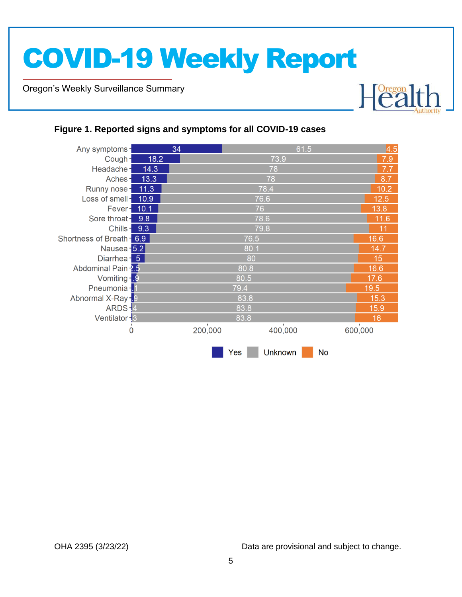Oregon's Weekly Surveillance Summary

Novel Coronavirus (COVID-19)



#### <span id="page-4-0"></span>**Figure 1. Reported signs and symptoms for all COVID-19 cases**

| Any symptoms-             |      | 34      |      | 61.5           |           | 4.5     |  |  |
|---------------------------|------|---------|------|----------------|-----------|---------|--|--|
| Cough-                    | 18.2 |         |      | 73.9           |           | 7.9     |  |  |
| Headache-                 | 14.3 |         |      | 78             |           | 7.7     |  |  |
| Aches-                    | 13.3 |         |      | 78             |           | 8.7     |  |  |
| Runny nose-               | 11.3 |         |      | 78.4           |           | 10.2    |  |  |
| Loss of smell-            | 10.9 |         |      | 76.6           |           | 12.5    |  |  |
| Fever-                    | 10.1 |         | 76   |                |           | 13.8    |  |  |
| Sore throat-              | 9.8  |         |      | 78.6           |           | 11.6    |  |  |
| Chills-                   | 9.3  |         |      | 79.8           |           | 11      |  |  |
| Shortness of Breath - 6.9 |      |         | 76.5 |                |           | 16.6    |  |  |
| Nausea - 5.2              |      |         | 80.1 |                |           |         |  |  |
| Diarrhea - 5              |      |         | 80   |                |           |         |  |  |
| Abdominal Pain 2.5        |      |         | 80.8 |                |           |         |  |  |
| Vomiting - 9              |      |         | 80.5 |                |           |         |  |  |
| Pneumonia -               |      |         | 79.4 |                |           | 19.5    |  |  |
| Abnormal X-Ray -. 9       |      |         | 83.8 |                |           | 15.3    |  |  |
| ARDS-4                    |      |         | 83.8 |                |           | 15.9    |  |  |
| Ventilator - 3            |      |         | 83.8 |                |           | 16      |  |  |
| 0                         |      | 200,000 |      | 400,000        |           | 600,000 |  |  |
|                           |      |         |      |                |           |         |  |  |
|                           |      |         | Yes  | <b>Unknown</b> | <b>No</b> |         |  |  |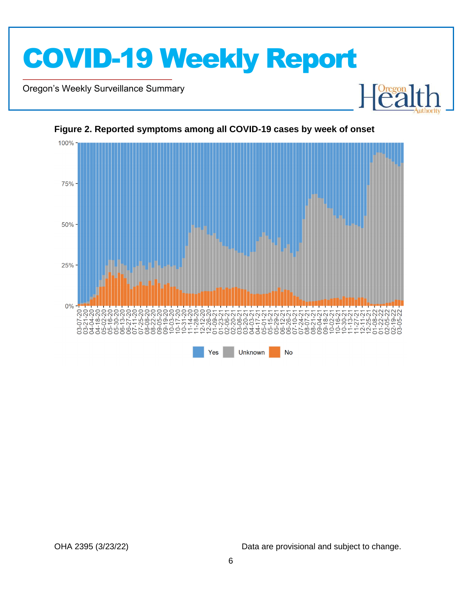

Oregon's Weekly Surveillance Summary

Novel Coronavirus (COVID-19)



<span id="page-5-0"></span>**Figure 2. Reported symptoms among all COVID-19 cases by week of onset**

OHA 2395 (3/23/22) Data are provisional and subject to change.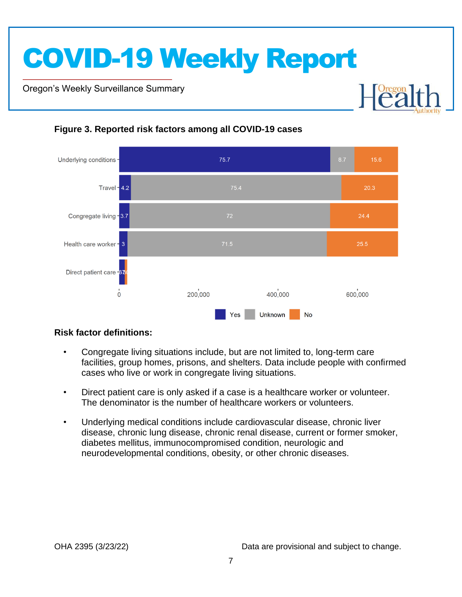Oregon's Weekly Surveillance Summary

Novel Coronavirus (COVID-19)



### <span id="page-6-0"></span>**Figure 3. Reported risk factors among all COVID-19 cases**

#### **Risk factor definitions:**

- Congregate living situations include, but are not limited to, long-term care facilities, group homes, prisons, and shelters. Data include people with confirmed cases who live or work in congregate living situations.
- Direct patient care is only asked if a case is a healthcare worker or volunteer. The denominator is the number of healthcare workers or volunteers.
- Underlying medical conditions include cardiovascular disease, chronic liver disease, chronic lung disease, chronic renal disease, current or former smoker, diabetes mellitus, immunocompromised condition, neurologic and neurodevelopmental conditions, obesity, or other chronic diseases.

**Dregon**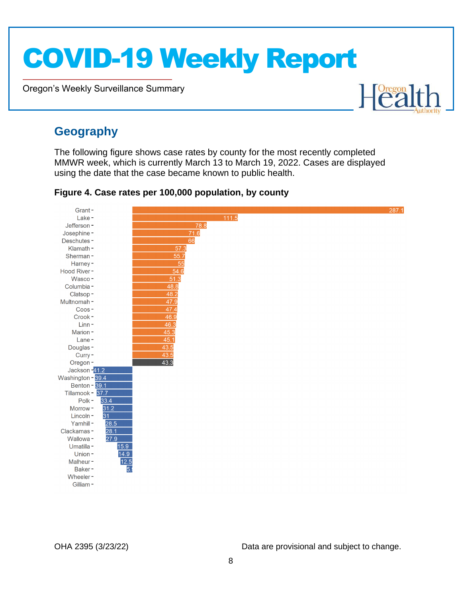Oregon's Weekly Surveillance Summary

# Healt

### <span id="page-7-0"></span>**Geography**

Novel Coronavirus (COVID-19)

The following figure shows case rates by county for the most recently completed MMWR week, which is currently March 13 to March 19, 2022. Cases are displayed using the date that the case became known to public health.

<span id="page-7-1"></span>**Figure 4. Case rates per 100,000 population, by county**

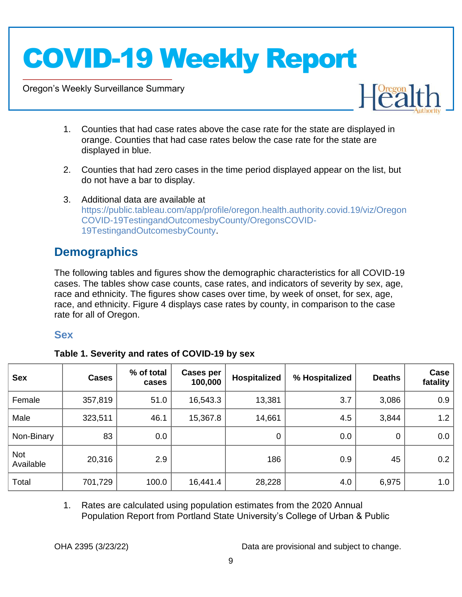Oregon's Weekly Surveillance Summary

Novel Coronavirus (COVID-19)



- 1. Counties that had case rates above the case rate for the state are displayed in orange. Counties that had case rates below the case rate for the state are displayed in blue.
- 2. Counties that had zero cases in the time period displayed appear on the list, but do not have a bar to display.
- 3. Additional data are available at [https://public.tableau.com/app/profile/oregon.health.authority.covid.19/viz/Oregon](https://public.tableau.com/app/profile/oregon.health.authority.covid.19/viz/OregonCOVID-19TestingandOutcomesbyCounty/OregonsCOVID-19TestingandOutcomesbyCounty) [COVID-19TestingandOutcomesbyCounty/OregonsCOVID-](https://public.tableau.com/app/profile/oregon.health.authority.covid.19/viz/OregonCOVID-19TestingandOutcomesbyCounty/OregonsCOVID-19TestingandOutcomesbyCounty)[19TestingandOutcomesbyCounty.](https://public.tableau.com/app/profile/oregon.health.authority.covid.19/viz/OregonCOVID-19TestingandOutcomesbyCounty/OregonsCOVID-19TestingandOutcomesbyCounty)

### <span id="page-8-0"></span>**Demographics**

The following tables and figures show the demographic characteristics for all COVID-19 cases. The tables show case counts, case rates, and indicators of severity by sex, age, race and ethnicity. The figures show cases over time, by week of onset, for sex, age, race, and ethnicity. Figure 4 displays case rates by county, in comparison to the case rate for all of Oregon.

### <span id="page-8-1"></span>**Sex**

<span id="page-8-2"></span>

| <b>Sex</b>       | <b>Cases</b> | % of total<br>cases | <b>Cases per</b><br>100,000 | <b>Hospitalized</b> | % Hospitalized | <b>Deaths</b> | Case<br>fatality |
|------------------|--------------|---------------------|-----------------------------|---------------------|----------------|---------------|------------------|
| Female           | 357,819      | 51.0                | 16,543.3                    | 13,381              | 3.7            | 3,086         | 0.9              |
| Male             | 323,511      | 46.1                | 15,367.8                    | 14,661              | 4.5            | 3,844         | 1.2              |
| Non-Binary       | 83           | 0.0                 |                             | $\mathbf 0$         | 0.0            | 0             | 0.0              |
| Not<br>Available | 20,316       | 2.9                 |                             | 186                 | 0.9            | 45            | 0.2              |
| Total            | 701,729      | 100.0               | 16,441.4                    | 28,228              | 4.0            | 6,975         | 1.0              |

1. Rates are calculated using population estimates from the 2020 Annual Population Report from Portland State University's College of Urban & Public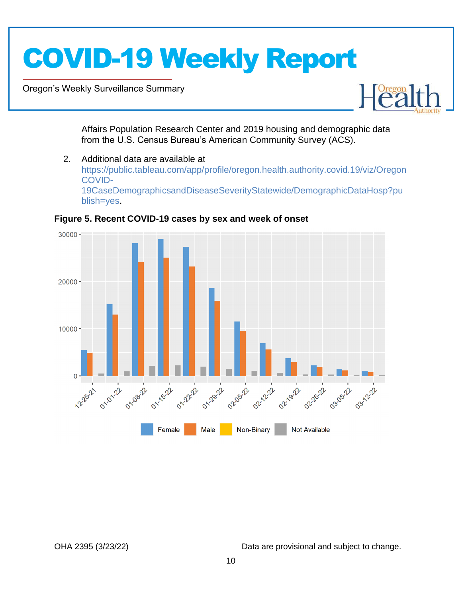Oregon's Weekly Surveillance Summary

Novel Coronavirus (COVID-19)



Affairs Population Research Center and 2019 housing and demographic data from the U.S. Census Bureau's American Community Survey (ACS).

2. Additional data are available at [https://public.tableau.com/app/profile/oregon.health.authority.covid.19/viz/Oregon](https://public.tableau.com/app/profile/oregon.health.authority.covid.19/viz/OregonCOVID-19CaseDemographicsandDiseaseSeverityStatewide/DemographicDataHosp?publish=yes) [COVID-](https://public.tableau.com/app/profile/oregon.health.authority.covid.19/viz/OregonCOVID-19CaseDemographicsandDiseaseSeverityStatewide/DemographicDataHosp?publish=yes)[19CaseDemographicsandDiseaseSeverityStatewide/DemographicDataHosp?pu](https://public.tableau.com/app/profile/oregon.health.authority.covid.19/viz/OregonCOVID-19CaseDemographicsandDiseaseSeverityStatewide/DemographicDataHosp?publish=yes) [blish=yes.](https://public.tableau.com/app/profile/oregon.health.authority.covid.19/viz/OregonCOVID-19CaseDemographicsandDiseaseSeverityStatewide/DemographicDataHosp?publish=yes)



<span id="page-9-0"></span>**Figure 5. Recent COVID-19 cases by sex and week of onset**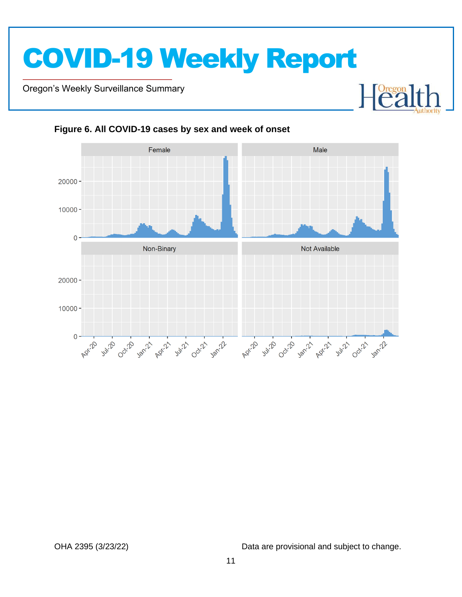Oregon's Weekly Surveillance Summary

Novel Coronavirus (COVID-19)



#### <span id="page-10-0"></span>**Figure 6. All COVID-19 cases by sex and week of onset**

OHA 2395 (3/23/22) Data are provisional and subject to change.

 $\mathbb{R}$ 

 $\begin{bmatrix} \text{Oregon} \\ \text{C2} \end{bmatrix}$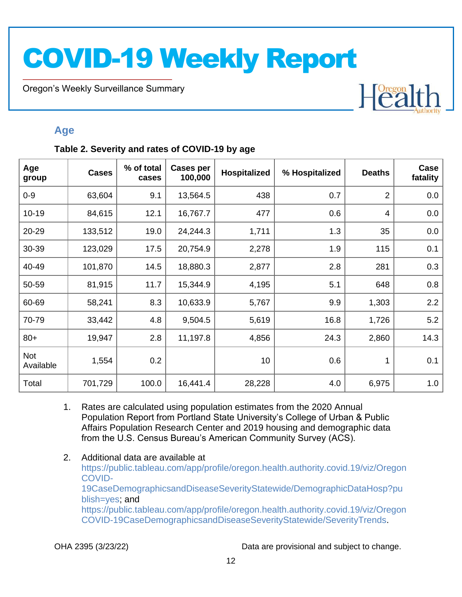Oregon's Weekly Surveillance Summary

Novel Coronavirus (COVID-19)

## Heal

### <span id="page-11-0"></span>**Age**

#### <span id="page-11-1"></span>**Table 2. Severity and rates of COVID-19 by age**

| Age<br>group     | <b>Cases</b> | % of total<br>cases | <b>Cases per</b><br>100,000 | Hospitalized | % Hospitalized | <b>Deaths</b>  | Case<br>fatality |
|------------------|--------------|---------------------|-----------------------------|--------------|----------------|----------------|------------------|
| $0 - 9$          | 63,604       | 9.1                 | 13,564.5                    | 438          | 0.7            | $\overline{2}$ | 0.0              |
| $10 - 19$        | 84,615       | 12.1                | 16,767.7                    | 477          | 0.6            | 4              | 0.0              |
| 20-29            | 133,512      | 19.0                | 24,244.3                    | 1,711        | 1.3            | 35             | 0.0              |
| 30-39            | 123,029      | 17.5                | 20,754.9                    | 2,278        | 1.9            | 115            | 0.1              |
| 40-49            | 101,870      | 14.5                | 18,880.3                    | 2,877        | 2.8            | 281            | 0.3              |
| 50-59            | 81,915       | 11.7                | 15,344.9                    | 4,195        | 5.1            | 648            | 0.8              |
| 60-69            | 58,241       | 8.3                 | 10,633.9                    | 5,767        | 9.9            | 1,303          | 2.2              |
| 70-79            | 33,442       | 4.8                 | 9,504.5                     | 5,619        | 16.8           | 1,726          | 5.2              |
| $80+$            | 19,947       | 2.8                 | 11,197.8                    | 4,856        | 24.3           | 2,860          | 14.3             |
| Not<br>Available | 1,554        | 0.2                 |                             | 10           | 0.6            | 1              | 0.1              |
| Total            | 701,729      | 100.0               | 16,441.4                    | 28,228       | 4.0            | 6,975          | 1.0              |

- 1. Rates are calculated using population estimates from the 2020 Annual Population Report from Portland State University's College of Urban & Public Affairs Population Research Center and 2019 housing and demographic data from the U.S. Census Bureau's American Community Survey (ACS).
- 2. Additional data are available at [https://public.tableau.com/app/profile/oregon.health.authority.covid.19/viz/Oregon](https://public.tableau.com/app/profile/oregon.health.authority.covid.19/viz/OregonCOVID-19CaseDemographicsandDiseaseSeverityStatewide/DemographicDataHosp?publish=yes) [COVID-](https://public.tableau.com/app/profile/oregon.health.authority.covid.19/viz/OregonCOVID-19CaseDemographicsandDiseaseSeverityStatewide/DemographicDataHosp?publish=yes)[19CaseDemographicsandDiseaseSeverityStatewide/DemographicDataHosp?pu](https://public.tableau.com/app/profile/oregon.health.authority.covid.19/viz/OregonCOVID-19CaseDemographicsandDiseaseSeverityStatewide/DemographicDataHosp?publish=yes) [blish=yes;](https://public.tableau.com/app/profile/oregon.health.authority.covid.19/viz/OregonCOVID-19CaseDemographicsandDiseaseSeverityStatewide/DemographicDataHosp?publish=yes) and [https://public.tableau.com/app/profile/oregon.health.authority.covid.19/viz/Oregon](https://public.tableau.com/app/profile/oregon.health.authority.covid.19/viz/OregonCOVID-19CaseDemographicsandDiseaseSeverityStatewide/SeverityTrends) [COVID-19CaseDemographicsandDiseaseSeverityStatewide/SeverityTrends.](https://public.tableau.com/app/profile/oregon.health.authority.covid.19/viz/OregonCOVID-19CaseDemographicsandDiseaseSeverityStatewide/SeverityTrends)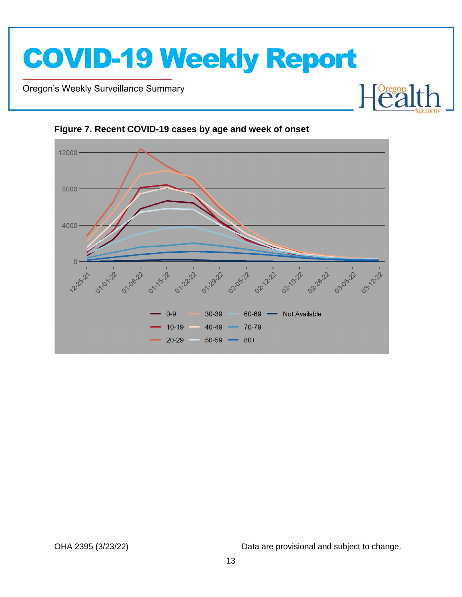Oregon's Weekly Surveillance Summary

Novel Coronavirus (COVID-19)



#### <span id="page-12-0"></span>**Figure 7. Recent COVID-19 cases by age and week of onset**

OHA 2395 (3/23/22) Data are provisional and subject to change.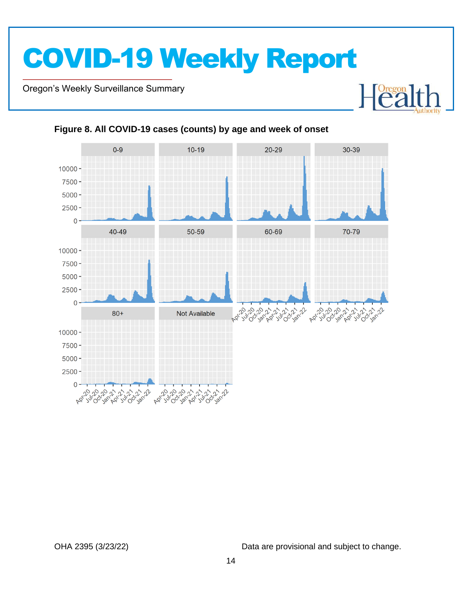Oregon's Weekly Surveillance Summary

Novel Coronavirus (COVID-19)



#### <span id="page-13-0"></span>**Figure 8. All COVID-19 cases (counts) by age and week of onset**

OHA 2395 (3/23/22) Data are provisional and subject to change.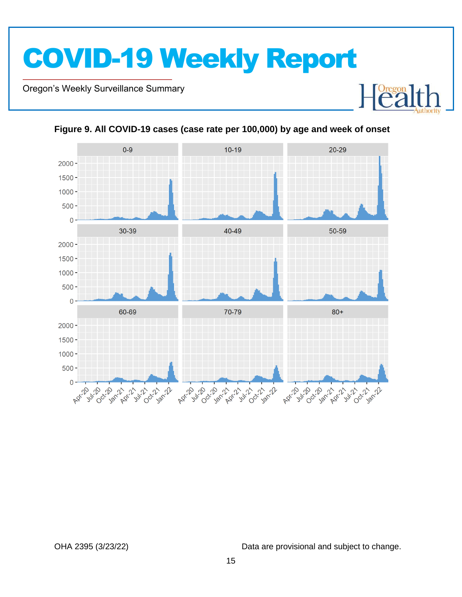Oregon's Weekly Surveillance Summary

Novel Coronavirus (COVID-19)



<span id="page-14-0"></span>**Figure 9. All COVID-19 cases (case rate per 100,000) by age and week of onset**

OHA 2395 (3/23/22) Data are provisional and subject to change.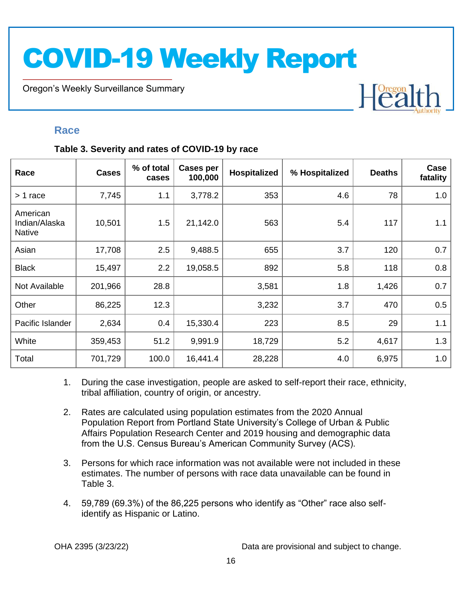Oregon's Weekly Surveillance Summary

### Heal

### <span id="page-15-0"></span>**Race**

Novel Coronavirus (COVID-19)

#### <span id="page-15-1"></span>**Table 3. Severity and rates of COVID-19 by race**

| Race                                       | <b>Cases</b> | % of total<br>cases | Cases per<br>100,000 | Hospitalized | % Hospitalized | <b>Deaths</b> | Case<br>fatality |
|--------------------------------------------|--------------|---------------------|----------------------|--------------|----------------|---------------|------------------|
| $> 1$ race                                 | 7,745        | 1.1                 | 3,778.2              | 353          | 4.6            | 78            | 1.0              |
| American<br>Indian/Alaska<br><b>Native</b> | 10,501       | 1.5                 | 21,142.0             | 563          | 5.4            | 117           | 1.1              |
| Asian                                      | 17,708       | 2.5                 | 9,488.5              | 655          | 3.7            | 120           | 0.7              |
| <b>Black</b>                               | 15,497       | 2.2                 | 19,058.5             | 892          | 5.8            | 118           | 0.8              |
| Not Available                              | 201,966      | 28.8                |                      | 3,581        | 1.8            | 1,426         | 0.7              |
| Other                                      | 86,225       | 12.3                |                      | 3,232        | 3.7            | 470           | 0.5              |
| Pacific Islander                           | 2,634        | 0.4                 | 15,330.4             | 223          | 8.5            | 29            | 1.1              |
| White                                      | 359,453      | 51.2                | 9,991.9              | 18,729       | 5.2            | 4,617         | 1.3              |
| Total                                      | 701,729      | 100.0               | 16,441.4             | 28,228       | 4.0            | 6,975         | 1.0              |

- 1. During the case investigation, people are asked to self-report their race, ethnicity, tribal affiliation, country of origin, or ancestry.
- 2. Rates are calculated using population estimates from the 2020 Annual Population Report from Portland State University's College of Urban & Public Affairs Population Research Center and 2019 housing and demographic data from the U.S. Census Bureau's American Community Survey (ACS).
- 3. Persons for which race information was not available were not included in these estimates. The number of persons with race data unavailable can be found in Table 3.
- 4. 59,789 (69.3%) of the 86,225 persons who identify as "Other" race also selfidentify as Hispanic or Latino.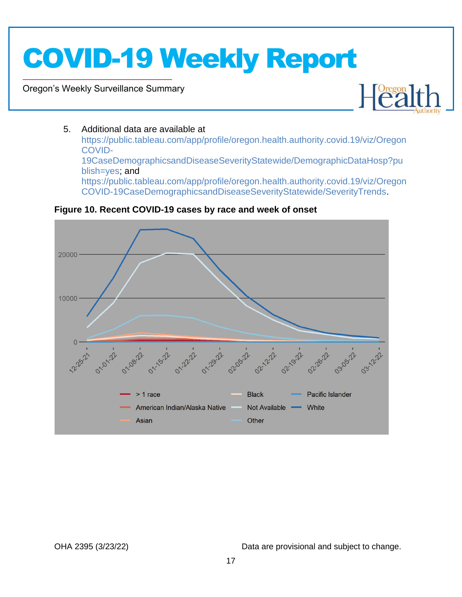Oregon's Weekly Surveillance Summary

Novel Coronavirus (COVID-19)



#### 5. Additional data are available at

[https://public.tableau.com/app/profile/oregon.health.authority.covid.19/viz/Oregon](https://public.tableau.com/app/profile/oregon.health.authority.covid.19/viz/OregonCOVID-19CaseDemographicsandDiseaseSeverityStatewide/DemographicDataHosp?publish=yes) [COVID-](https://public.tableau.com/app/profile/oregon.health.authority.covid.19/viz/OregonCOVID-19CaseDemographicsandDiseaseSeverityStatewide/DemographicDataHosp?publish=yes)[19CaseDemographicsandDiseaseSeverityStatewide/DemographicDataHosp?pu](https://public.tableau.com/app/profile/oregon.health.authority.covid.19/viz/OregonCOVID-19CaseDemographicsandDiseaseSeverityStatewide/DemographicDataHosp?publish=yes) [blish=yes;](https://public.tableau.com/app/profile/oregon.health.authority.covid.19/viz/OregonCOVID-19CaseDemographicsandDiseaseSeverityStatewide/DemographicDataHosp?publish=yes) and [https://public.tableau.com/app/profile/oregon.health.authority.covid.19/viz/Oregon](https://public.tableau.com/app/profile/oregon.health.authority.covid.19/viz/OregonCOVID-19CaseDemographicsandDiseaseSeverityStatewide/SeverityTrends) [COVID-19CaseDemographicsandDiseaseSeverityStatewide/SeverityTrends.](https://public.tableau.com/app/profile/oregon.health.authority.covid.19/viz/OregonCOVID-19CaseDemographicsandDiseaseSeverityStatewide/SeverityTrends)



#### <span id="page-16-0"></span>**Figure 10. Recent COVID-19 cases by race and week of onset**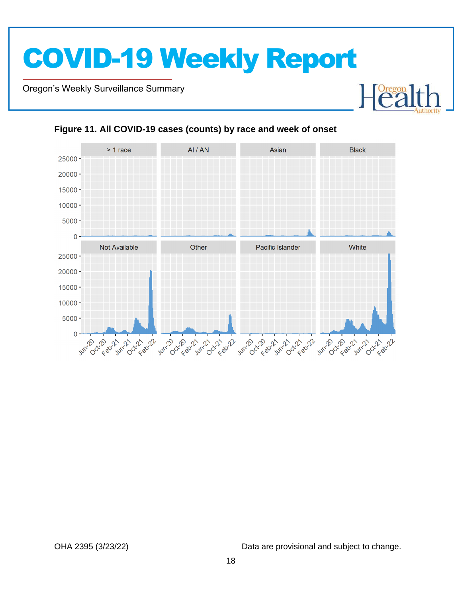Oregon's Weekly Surveillance Summary

Novel Coronavirus (COVID-19)



#### <span id="page-17-0"></span>**Figure 11. All COVID-19 cases (counts) by race and week of onset**

OHA 2395 (3/23/22) Data are provisional and subject to change.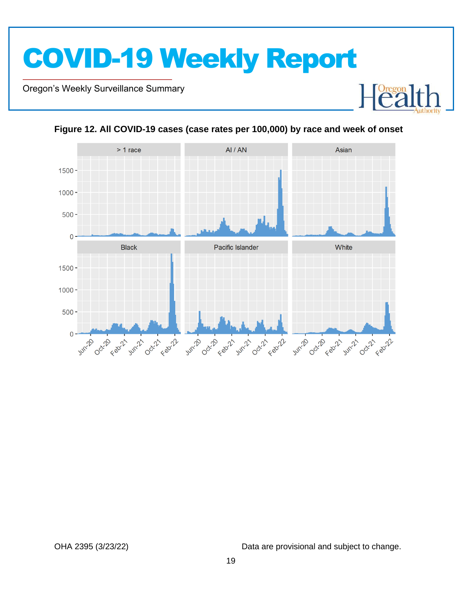Oregon's Weekly Surveillance Summary

Novel Coronavirus (COVID-19)





<span id="page-18-0"></span>**Figure 12. All COVID-19 cases (case rates per 100,000) by race and week of onset**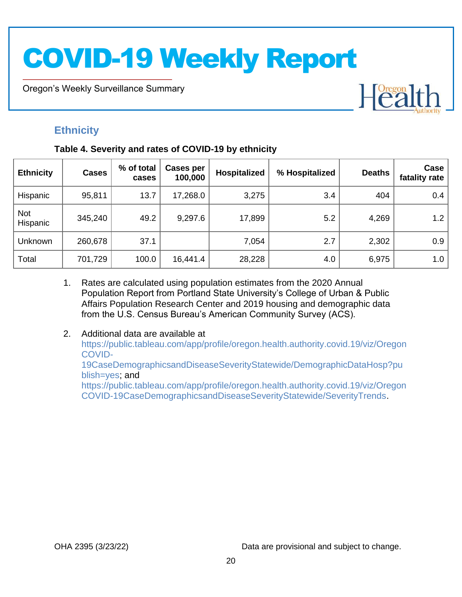Oregon's Weekly Surveillance Summary

### <span id="page-19-0"></span>**Ethnicity**

Novel Coronavirus (COVID-19)

#### <span id="page-19-1"></span>**Table 4. Severity and rates of COVID-19 by ethnicity**

| <b>Ethnicity</b>       | <b>Cases</b> | % of total<br>cases | Cases per<br>100,000 | Hospitalized | % Hospitalized | <b>Deaths</b> | Case<br>fatality rate |
|------------------------|--------------|---------------------|----------------------|--------------|----------------|---------------|-----------------------|
| Hispanic               | 95,811       | 13.7                | 17,268.0             | 3,275        | 3.4            | 404           | 0.4                   |
| <b>Not</b><br>Hispanic | 345,240      | 49.2                | 9,297.6              | 17,899       | 5.2            | 4,269         | 1.2                   |
| Unknown                | 260,678      | 37.1                |                      | 7,054        | 2.7            | 2,302         | 0.9                   |
| Total                  | 701,729      | 100.0               | 16,441.4             | 28,228       | 4.0            | 6,975         | 1.0                   |

- 1. Rates are calculated using population estimates from the 2020 Annual Population Report from Portland State University's College of Urban & Public Affairs Population Research Center and 2019 housing and demographic data from the U.S. Census Bureau's American Community Survey (ACS).
- 2. Additional data are available at [https://public.tableau.com/app/profile/oregon.health.authority.covid.19/viz/Oregon](https://public.tableau.com/app/profile/oregon.health.authority.covid.19/viz/OregonCOVID-19CaseDemographicsandDiseaseSeverityStatewide/DemographicDataHosp?publish=yes) [COVID-](https://public.tableau.com/app/profile/oregon.health.authority.covid.19/viz/OregonCOVID-19CaseDemographicsandDiseaseSeverityStatewide/DemographicDataHosp?publish=yes)[19CaseDemographicsandDiseaseSeverityStatewide/DemographicDataHosp?pu](https://public.tableau.com/app/profile/oregon.health.authority.covid.19/viz/OregonCOVID-19CaseDemographicsandDiseaseSeverityStatewide/DemographicDataHosp?publish=yes) [blish=yes;](https://public.tableau.com/app/profile/oregon.health.authority.covid.19/viz/OregonCOVID-19CaseDemographicsandDiseaseSeverityStatewide/DemographicDataHosp?publish=yes) and [https://public.tableau.com/app/profile/oregon.health.authority.covid.19/viz/Oregon](https://public.tableau.com/app/profile/oregon.health.authority.covid.19/viz/OregonCOVID-19CaseDemographicsandDiseaseSeverityStatewide/SeverityTrends) [COVID-19CaseDemographicsandDiseaseSeverityStatewide/SeverityTrends.](https://public.tableau.com/app/profile/oregon.health.authority.covid.19/viz/OregonCOVID-19CaseDemographicsandDiseaseSeverityStatewide/SeverityTrends)

OHA 2395 (3/23/22) Data are provisional and subject to change.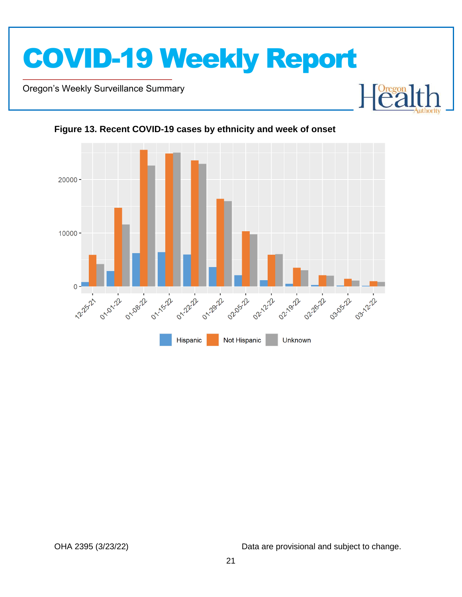

Oregon's Weekly Surveillance Summary

Novel Coronavirus (COVID-19)



### <span id="page-20-0"></span>**Figure 13. Recent COVID-19 cases by ethnicity and week of onset**

OHA 2395 (3/23/22) Data are provisional and subject to change.

Dregon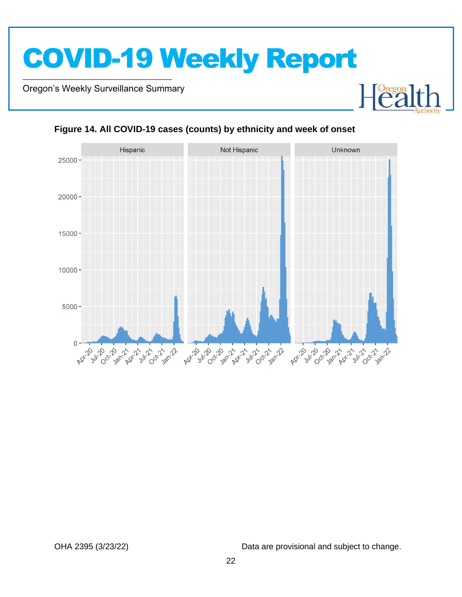Oregon's Weekly Surveillance Summary

Novel Coronavirus (COVID-19)



#### <span id="page-21-0"></span>**Figure 14. All COVID-19 cases (counts) by ethnicity and week of onset**

OHA 2395 (3/23/22) Data are provisional and subject to change.

Foregon

F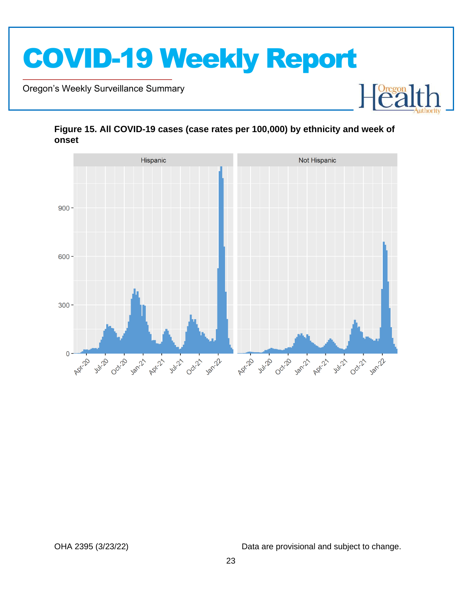

Oregon's Weekly Surveillance Summary

Novel Coronavirus (COVID-19)



#### <span id="page-22-0"></span>**Figure 15. All COVID-19 cases (case rates per 100,000) by ethnicity and week of onset**

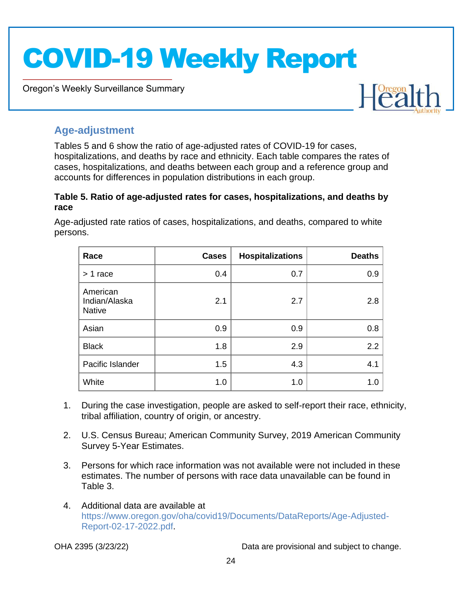Oregon's Weekly Surveillance Summary



### <span id="page-23-0"></span>**Age-adjustment**

Novel Coronavirus (COVID-19)

Tables 5 and 6 show the ratio of age-adjusted rates of COVID-19 for cases, hospitalizations, and deaths by race and ethnicity. Each table compares the rates of cases, hospitalizations, and deaths between each group and a reference group and accounts for differences in population distributions in each group.

#### <span id="page-23-1"></span>**Table 5. Ratio of age-adjusted rates for cases, hospitalizations, and deaths by race**

Age-adjusted rate ratios of cases, hospitalizations, and deaths, compared to white persons.

| Race                                       | <b>Cases</b> | <b>Hospitalizations</b> | <b>Deaths</b> |
|--------------------------------------------|--------------|-------------------------|---------------|
| $> 1$ race                                 | 0.4          | 0.7                     | 0.9           |
| American<br>Indian/Alaska<br><b>Native</b> | 2.1          | 2.7                     | 2.8           |
| Asian                                      | 0.9          | 0.9                     | 0.8           |
| <b>Black</b>                               | 1.8          | 2.9                     | 2.2           |
| Pacific Islander                           | 1.5          | 4.3                     | 4.1           |
| White                                      | 1.0          | 1.0                     | 1.0           |

- 1. During the case investigation, people are asked to self-report their race, ethnicity, tribal affiliation, country of origin, or ancestry.
- 2. U.S. Census Bureau; American Community Survey, 2019 American Community Survey 5-Year Estimates.
- 3. Persons for which race information was not available were not included in these estimates. The number of persons with race data unavailable can be found in Table 3.
- 4. Additional data are available at [https://www.oregon.gov/oha/covid19/Documents/DataReports/Age-Adjusted-](https://www.oregon.gov/oha/covid19/Documents/DataReports/Age-Adjusted-Report-02-17-2022.pdf)[Report-02-17-2022.pdf.](https://www.oregon.gov/oha/covid19/Documents/DataReports/Age-Adjusted-Report-02-17-2022.pdf)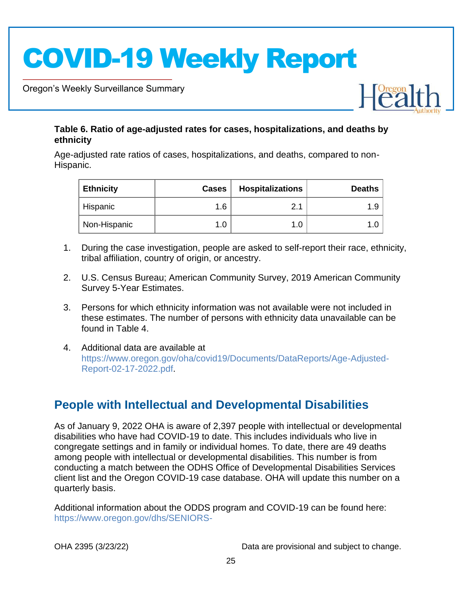Oregon's Weekly Surveillance Summary

Novel Coronavirus (COVID-19)



#### <span id="page-24-0"></span>**Table 6. Ratio of age-adjusted rates for cases, hospitalizations, and deaths by ethnicity**

Age-adjusted rate ratios of cases, hospitalizations, and deaths, compared to non-Hispanic.

| <b>Ethnicity</b> | <b>Cases</b> | <b>Hospitalizations</b> | <b>Deaths</b> |
|------------------|--------------|-------------------------|---------------|
| Hispanic         | 1.6          | 2.1                     | 1.9           |
| Non-Hispanic     | 1.0          | 1.0 <sub>1</sub>        |               |

- 1. During the case investigation, people are asked to self-report their race, ethnicity, tribal affiliation, country of origin, or ancestry.
- 2. U.S. Census Bureau; American Community Survey, 2019 American Community Survey 5-Year Estimates.
- 3. Persons for which ethnicity information was not available were not included in these estimates. The number of persons with ethnicity data unavailable can be found in Table 4.
- 4. Additional data are available at [https://www.oregon.gov/oha/covid19/Documents/DataReports/Age-Adjusted-](https://www.oregon.gov/oha/covid19/Documents/DataReports/Age-Adjusted-Report-02-17-2022.pdf)[Report-02-17-2022.pdf.](https://www.oregon.gov/oha/covid19/Documents/DataReports/Age-Adjusted-Report-02-17-2022.pdf)

### <span id="page-24-1"></span>**People with Intellectual and Developmental Disabilities**

As of January 9, 2022 OHA is aware of 2,397 people with intellectual or developmental disabilities who have had COVID-19 to date. This includes individuals who live in congregate settings and in family or individual homes. To date, there are 49 deaths among people with intellectual or developmental disabilities. This number is from conducting a match between the ODHS Office of Developmental Disabilities Services client list and the Oregon COVID-19 case database. OHA will update this number on a quarterly basis.

Additional information about the ODDS program and COVID-19 can be found here: [https://www.oregon.gov/dhs/SENIORS-](https://www.oregon.gov/dhs/SENIORS-DISABILITIES/DD/ODDS%20Resource%20Library/ODDS-Residential-COVID-19-Report.pdf)